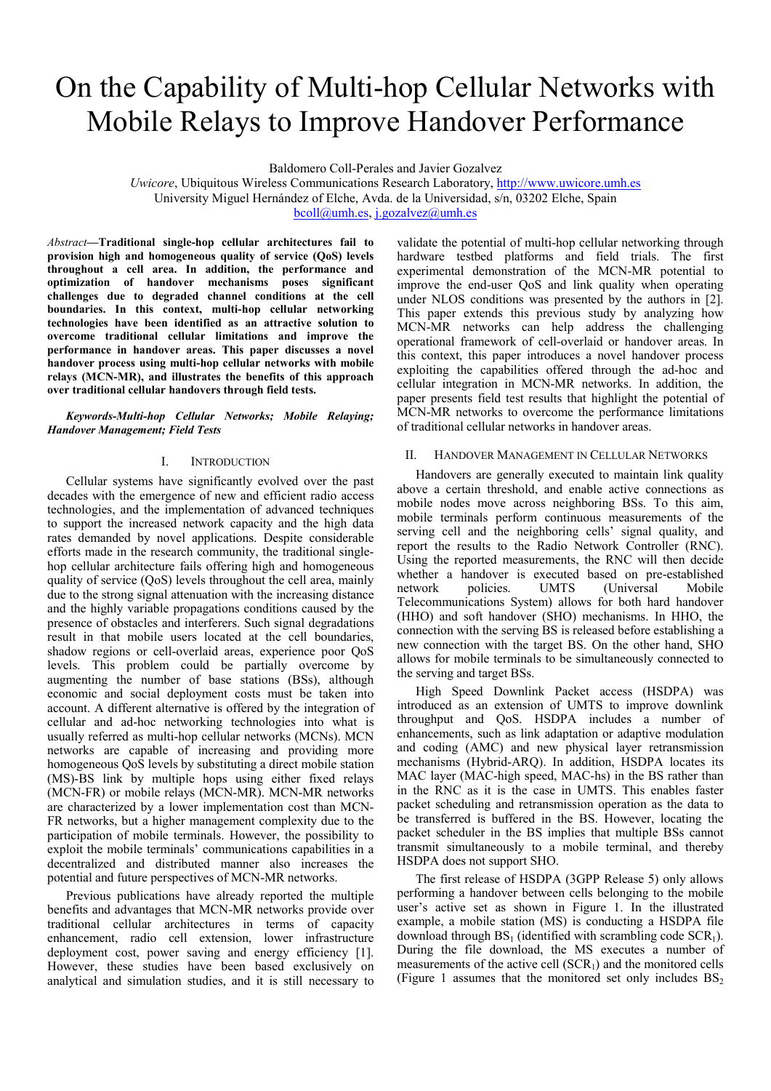# On the Capability of Multi-hop Cellular Networks with Mobile Relays to Improve Handover Performance

Baldomero Coll-Perales and Javier Gozalvez

*Uwicore*, Ubiquitous Wireless Communications Research Laboratory, http://www.uwicore.umh.es University Miguel Hernández of Elche, Avda. de la Universidad, s/n, 03202 Elche, Spain bcoll@umh.es, j.gozalvez@umh.es

*Abstract***—Traditional single-hop cellular architectures fail to provision high and homogeneous quality of service (QoS) levels throughout a cell area. In addition, the performance and optimization of handover mechanisms poses significant challenges due to degraded channel conditions at the cell boundaries. In this context, multi-hop cellular networking technologies have been identified as an attractive solution to overcome traditional cellular limitations and improve the performance in handover areas. This paper discusses a novel handover process using multi-hop cellular networks with mobile relays (MCN-MR), and illustrates the benefits of this approach over traditional cellular handovers through field tests.** 

*Keywords-Multi-hop Cellular Networks; Mobile Relaying; Handover Management; Field Tests* 

# I. INTRODUCTION

Cellular systems have significantly evolved over the past decades with the emergence of new and efficient radio access technologies, and the implementation of advanced techniques to support the increased network capacity and the high data rates demanded by novel applications. Despite considerable efforts made in the research community, the traditional singlehop cellular architecture fails offering high and homogeneous quality of service (QoS) levels throughout the cell area, mainly due to the strong signal attenuation with the increasing distance and the highly variable propagations conditions caused by the presence of obstacles and interferers. Such signal degradations result in that mobile users located at the cell boundaries, shadow regions or cell-overlaid areas, experience poor QoS levels. This problem could be partially overcome by augmenting the number of base stations (BSs), although economic and social deployment costs must be taken into account. A different alternative is offered by the integration of cellular and ad-hoc networking technologies into what is usually referred as multi-hop cellular networks (MCNs). MCN networks are capable of increasing and providing more homogeneous QoS levels by substituting a direct mobile station (MS)-BS link by multiple hops using either fixed relays (MCN-FR) or mobile relays (MCN-MR). MCN-MR networks are characterized by a lower implementation cost than MCN-FR networks, but a higher management complexity due to the participation of mobile terminals. However, the possibility to exploit the mobile terminals' communications capabilities in a decentralized and distributed manner also increases the potential and future perspectives of MCN-MR networks.

Previous publications have already reported the multiple benefits and advantages that MCN-MR networks provide over traditional cellular architectures in terms of capacity enhancement, radio cell extension, lower infrastructure deployment cost, power saving and energy efficiency [1]. However, these studies have been based exclusively on analytical and simulation studies, and it is still necessary to

validate the potential of multi-hop cellular networking through hardware testbed platforms and field trials. The first experimental demonstration of the MCN-MR potential to improve the end-user QoS and link quality when operating under NLOS conditions was presented by the authors in [2]. This paper extends this previous study by analyzing how MCN-MR networks can help address the challenging operational framework of cell-overlaid or handover areas. In this context, this paper introduces a novel handover process exploiting the capabilities offered through the ad-hoc and cellular integration in MCN-MR networks. In addition, the paper presents field test results that highlight the potential of MCN-MR networks to overcome the performance limitations of traditional cellular networks in handover areas.

## II. HANDOVER MANAGEMENT IN CELLULAR NETWORKS

Handovers are generally executed to maintain link quality above a certain threshold, and enable active connections as mobile nodes move across neighboring BSs. To this aim, mobile terminals perform continuous measurements of the serving cell and the neighboring cells' signal quality, and report the results to the Radio Network Controller (RNC). Using the reported measurements, the RNC will then decide whether a handover is executed based on pre-established network policies. UMTS (Universal Mobile Telecommunications System) allows for both hard handover (HHO) and soft handover (SHO) mechanisms. In HHO, the connection with the serving BS is released before establishing a new connection with the target BS. On the other hand, SHO allows for mobile terminals to be simultaneously connected to the serving and target BSs.

High Speed Downlink Packet access (HSDPA) was introduced as an extension of UMTS to improve downlink throughput and QoS. HSDPA includes a number of enhancements, such as link adaptation or adaptive modulation and coding (AMC) and new physical layer retransmission mechanisms (Hybrid-ARQ). In addition, HSDPA locates its MAC layer (MAC-high speed, MAC-hs) in the BS rather than in the RNC as it is the case in UMTS. This enables faster packet scheduling and retransmission operation as the data to be transferred is buffered in the BS. However, locating the packet scheduler in the BS implies that multiple BSs cannot transmit simultaneously to a mobile terminal, and thereby HSDPA does not support SHO.

The first release of HSDPA (3GPP Release 5) only allows performing a handover between cells belonging to the mobile user's active set as shown in Figure 1. In the illustrated example, a mobile station (MS) is conducting a HSDPA file download through  $BS_1$  (identified with scrambling code  $SCR_1$ ). During the file download, the MS executes a number of measurements of the active cell  $(SCR<sub>1</sub>)$  and the monitored cells (Figure 1 assumes that the monitored set only includes  $BS_2$ )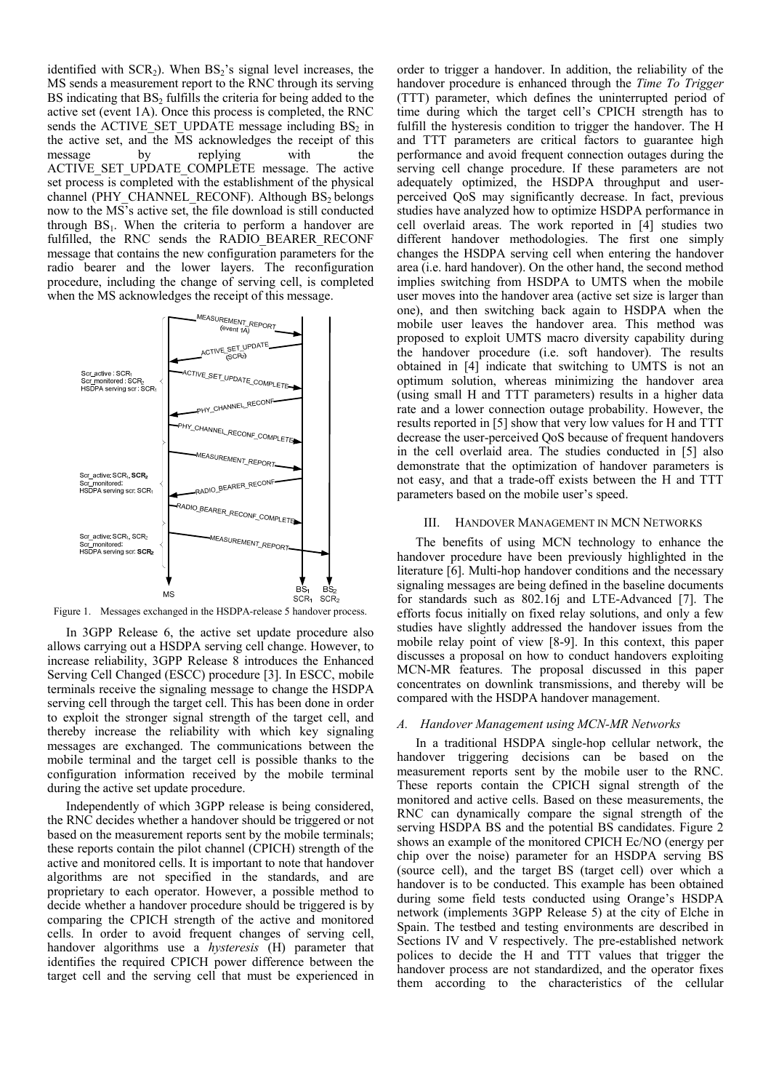identified with  $SCR<sub>2</sub>$ ). When  $BS<sub>2</sub>$ 's signal level increases, the MS sends a measurement report to the RNC through its serving BS indicating that BS<sub>2</sub> fulfills the criteria for being added to the active set (event 1A). Once this process is completed, the RNC sends the ACTIVE SET UPDATE message including  $BS_2$  in the active set, and the MS acknowledges the receipt of this message by replying with the ACTIVE SET UPDATE COMPLETE message. The active set process is completed with the establishment of the physical channel (PHY\_CHANNEL\_RECONF). Although  $BS_2$  belongs now to the MS's active set, the file download is still conducted through BS1. When the criteria to perform a handover are fulfilled, the RNC sends the RADIO BEARER RECONF message that contains the new configuration parameters for the radio bearer and the lower layers. The reconfiguration procedure, including the change of serving cell, is completed when the MS acknowledges the receipt of this message.



Figure 1. Messages exchanged in the HSDPA-release 5 handover process.

In 3GPP Release 6, the active set update procedure also allows carrying out a HSDPA serving cell change. However, to increase reliability, 3GPP Release 8 introduces the Enhanced Serving Cell Changed (ESCC) procedure [3]. In ESCC, mobile terminals receive the signaling message to change the HSDPA serving cell through the target cell. This has been done in order to exploit the stronger signal strength of the target cell, and thereby increase the reliability with which key signaling messages are exchanged. The communications between the mobile terminal and the target cell is possible thanks to the configuration information received by the mobile terminal during the active set update procedure.

Independently of which 3GPP release is being considered, the RNC decides whether a handover should be triggered or not based on the measurement reports sent by the mobile terminals; these reports contain the pilot channel (CPICH) strength of the active and monitored cells. It is important to note that handover algorithms are not specified in the standards, and are proprietary to each operator. However, a possible method to decide whether a handover procedure should be triggered is by comparing the CPICH strength of the active and monitored cells. In order to avoid frequent changes of serving cell, handover algorithms use a *hysteresis* (H) parameter that identifies the required CPICH power difference between the target cell and the serving cell that must be experienced in

order to trigger a handover. In addition, the reliability of the handover procedure is enhanced through the *Time To Trigger* (TTT) parameter, which defines the uninterrupted period of time during which the target cell's CPICH strength has to fulfill the hysteresis condition to trigger the handover. The H and TTT parameters are critical factors to guarantee high performance and avoid frequent connection outages during the serving cell change procedure. If these parameters are not adequately optimized, the HSDPA throughput and userperceived QoS may significantly decrease. In fact, previous studies have analyzed how to optimize HSDPA performance in cell overlaid areas. The work reported in [4] studies two different handover methodologies. The first one simply changes the HSDPA serving cell when entering the handover area (i.e. hard handover). On the other hand, the second method implies switching from HSDPA to UMTS when the mobile user moves into the handover area (active set size is larger than one), and then switching back again to HSDPA when the mobile user leaves the handover area. This method was proposed to exploit UMTS macro diversity capability during the handover procedure (i.e. soft handover). The results obtained in [4] indicate that switching to UMTS is not an optimum solution, whereas minimizing the handover area (using small H and TTT parameters) results in a higher data rate and a lower connection outage probability. However, the results reported in [5] show that very low values for H and TTT decrease the user-perceived QoS because of frequent handovers in the cell overlaid area. The studies conducted in [5] also demonstrate that the optimization of handover parameters is not easy, and that a trade-off exists between the H and TTT parameters based on the mobile user's speed.

#### III. HANDOVER MANAGEMENT IN MCN NETWORKS

The benefits of using MCN technology to enhance the handover procedure have been previously highlighted in the literature [6]. Multi-hop handover conditions and the necessary signaling messages are being defined in the baseline documents for standards such as 802.16j and LTE-Advanced [7]. The efforts focus initially on fixed relay solutions, and only a few studies have slightly addressed the handover issues from the mobile relay point of view [8-9]. In this context, this paper discusses a proposal on how to conduct handovers exploiting MCN-MR features. The proposal discussed in this paper concentrates on downlink transmissions, and thereby will be compared with the HSDPA handover management.

#### *A. Handover Management using MCN-MR Networks*

In a traditional HSDPA single-hop cellular network, the handover triggering decisions can be based on the measurement reports sent by the mobile user to the RNC. These reports contain the CPICH signal strength of the monitored and active cells. Based on these measurements, the RNC can dynamically compare the signal strength of the serving HSDPA BS and the potential BS candidates. Figure 2 shows an example of the monitored CPICH Ec/NO (energy per chip over the noise) parameter for an HSDPA serving BS (source cell), and the target BS (target cell) over which a handover is to be conducted. This example has been obtained during some field tests conducted using Orange's HSDPA network (implements 3GPP Release 5) at the city of Elche in Spain. The testbed and testing environments are described in Sections IV and V respectively. The pre-established network polices to decide the H and TTT values that trigger the handover process are not standardized, and the operator fixes them according to the characteristics of the cellular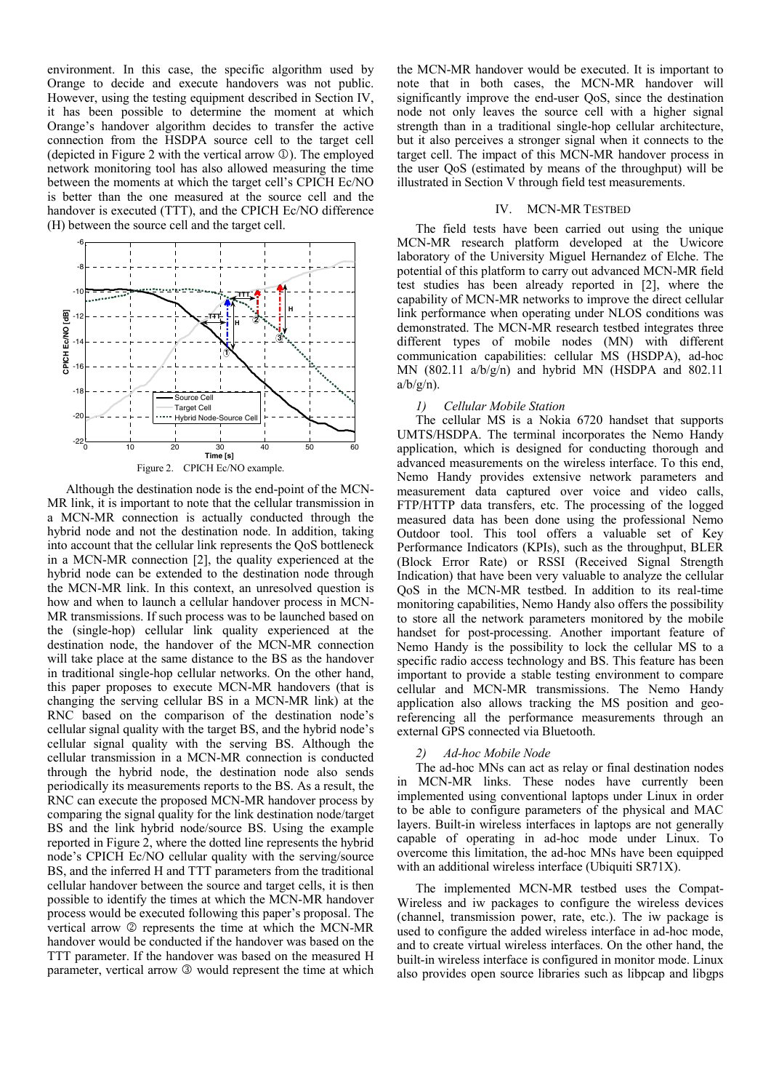environment. In this case, the specific algorithm used by Orange to decide and execute handovers was not public. However, using the testing equipment described in Section IV, it has been possible to determine the moment at which Orange's handover algorithm decides to transfer the active connection from the HSDPA source cell to the target cell (depicted in Figure 2 with the vertical arrow  $\mathbb{D}$ ). The employed network monitoring tool has also allowed measuring the time between the moments at which the target cell's CPICH Ec/NO is better than the one measured at the source cell and the handover is executed (TTT), and the CPICH Ec/NO difference (H) between the source cell and the target cell.



Although the destination node is the end-point of the MCN-MR link, it is important to note that the cellular transmission in a MCN-MR connection is actually conducted through the hybrid node and not the destination node. In addition, taking into account that the cellular link represents the QoS bottleneck in a MCN-MR connection [2], the quality experienced at the hybrid node can be extended to the destination node through the MCN-MR link. In this context, an unresolved question is how and when to launch a cellular handover process in MCN-MR transmissions. If such process was to be launched based on the (single-hop) cellular link quality experienced at the destination node, the handover of the MCN-MR connection will take place at the same distance to the BS as the handover in traditional single-hop cellular networks. On the other hand, this paper proposes to execute MCN-MR handovers (that is changing the serving cellular BS in a MCN-MR link) at the RNC based on the comparison of the destination node's cellular signal quality with the target BS, and the hybrid node's cellular signal quality with the serving BS. Although the cellular transmission in a MCN-MR connection is conducted through the hybrid node, the destination node also sends periodically its measurements reports to the BS. As a result, the RNC can execute the proposed MCN-MR handover process by comparing the signal quality for the link destination node/target BS and the link hybrid node/source BS. Using the example reported in Figure 2, where the dotted line represents the hybrid node's CPICH Ec/NO cellular quality with the serving/source BS, and the inferred H and TTT parameters from the traditional cellular handover between the source and target cells, it is then possible to identify the times at which the MCN-MR handover process would be executed following this paper's proposal. The vertical arrow  $\oslash$  represents the time at which the MCN-MR handover would be conducted if the handover was based on the TTT parameter. If the handover was based on the measured H parameter, vertical arrow 3 would represent the time at which

the MCN-MR handover would be executed. It is important to note that in both cases, the MCN-MR handover will significantly improve the end-user QoS, since the destination node not only leaves the source cell with a higher signal strength than in a traditional single-hop cellular architecture, but it also perceives a stronger signal when it connects to the target cell. The impact of this MCN-MR handover process in the user QoS (estimated by means of the throughput) will be illustrated in Section V through field test measurements.

#### IV. MCN-MR TESTBED

The field tests have been carried out using the unique MCN-MR research platform developed at the Uwicore laboratory of the University Miguel Hernandez of Elche. The potential of this platform to carry out advanced MCN-MR field test studies has been already reported in [2], where the capability of MCN-MR networks to improve the direct cellular link performance when operating under NLOS conditions was demonstrated. The MCN-MR research testbed integrates three different types of mobile nodes (MN) with different communication capabilities: cellular MS (HSDPA), ad-hoc MN (802.11 a/b/g/n) and hybrid MN (HSDPA and 802.11  $a/b/g/n$ ).

#### *1) Cellular Mobile Station*

The cellular MS is a Nokia 6720 handset that supports UMTS/HSDPA. The terminal incorporates the Nemo Handy application, which is designed for conducting thorough and advanced measurements on the wireless interface. To this end, Nemo Handy provides extensive network parameters and measurement data captured over voice and video calls, FTP/HTTP data transfers, etc. The processing of the logged measured data has been done using the professional Nemo Outdoor tool. This tool offers a valuable set of Key Performance Indicators (KPIs), such as the throughput, BLER (Block Error Rate) or RSSI (Received Signal Strength Indication) that have been very valuable to analyze the cellular QoS in the MCN-MR testbed. In addition to its real-time monitoring capabilities, Nemo Handy also offers the possibility to store all the network parameters monitored by the mobile handset for post-processing. Another important feature of Nemo Handy is the possibility to lock the cellular MS to a specific radio access technology and BS. This feature has been important to provide a stable testing environment to compare cellular and MCN-MR transmissions. The Nemo Handy application also allows tracking the MS position and georeferencing all the performance measurements through an external GPS connected via Bluetooth.

#### *2) Ad-hoc Mobile Node*

The ad-hoc MNs can act as relay or final destination nodes in MCN-MR links. These nodes have currently been implemented using conventional laptops under Linux in order to be able to configure parameters of the physical and MAC layers. Built-in wireless interfaces in laptops are not generally capable of operating in ad-hoc mode under Linux. To overcome this limitation, the ad-hoc MNs have been equipped with an additional wireless interface (Ubiquiti SR71X).

The implemented MCN-MR testbed uses the Compat-Wireless and iw packages to configure the wireless devices (channel, transmission power, rate, etc.). The iw package is used to configure the added wireless interface in ad-hoc mode, and to create virtual wireless interfaces. On the other hand, the built-in wireless interface is configured in monitor mode. Linux also provides open source libraries such as libpcap and libgps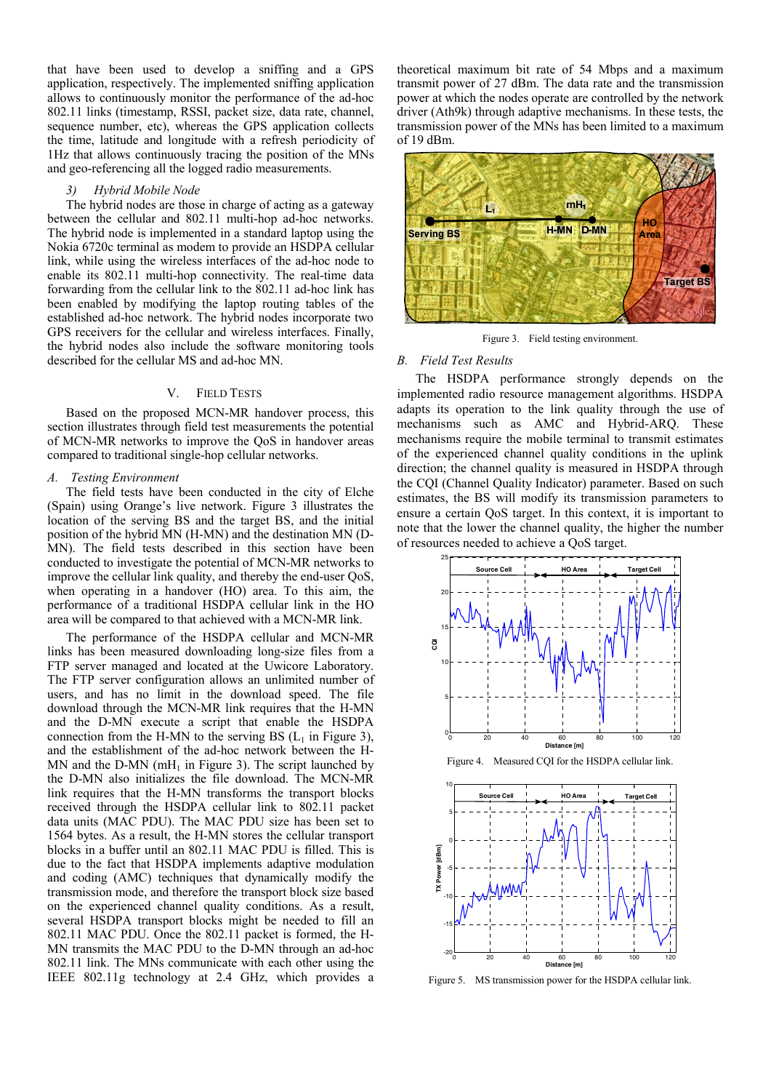that have been used to develop a sniffing and a GPS application, respectively. The implemented sniffing application allows to continuously monitor the performance of the ad-hoc 802.11 links (timestamp, RSSI, packet size, data rate, channel, sequence number, etc), whereas the GPS application collects the time, latitude and longitude with a refresh periodicity of 1Hz that allows continuously tracing the position of the MNs and geo-referencing all the logged radio measurements.

## *3) Hybrid Mobile Node*

The hybrid nodes are those in charge of acting as a gateway between the cellular and 802.11 multi-hop ad-hoc networks. The hybrid node is implemented in a standard laptop using the Nokia 6720c terminal as modem to provide an HSDPA cellular link, while using the wireless interfaces of the ad-hoc node to enable its 802.11 multi-hop connectivity. The real-time data forwarding from the cellular link to the 802.11 ad-hoc link has been enabled by modifying the laptop routing tables of the established ad-hoc network. The hybrid nodes incorporate two GPS receivers for the cellular and wireless interfaces. Finally, the hybrid nodes also include the software monitoring tools described for the cellular MS and ad-hoc MN.

# V. FIELD TESTS

Based on the proposed MCN-MR handover process, this section illustrates through field test measurements the potential of MCN-MR networks to improve the QoS in handover areas compared to traditional single-hop cellular networks.

## *A. Testing Environment*

The field tests have been conducted in the city of Elche (Spain) using Orange's live network. Figure 3 illustrates the location of the serving BS and the target BS, and the initial position of the hybrid MN (H-MN) and the destination MN (D-MN). The field tests described in this section have been conducted to investigate the potential of MCN-MR networks to improve the cellular link quality, and thereby the end-user QoS, when operating in a handover (HO) area. To this aim, the performance of a traditional HSDPA cellular link in the HO area will be compared to that achieved with a MCN-MR link.

The performance of the HSDPA cellular and MCN-MR links has been measured downloading long-size files from a FTP server managed and located at the Uwicore Laboratory. The FTP server configuration allows an unlimited number of users, and has no limit in the download speed. The file download through the MCN-MR link requires that the H-MN and the D-MN execute a script that enable the HSDPA connection from the H-MN to the serving BS  $(L_1 \text{ in Figure 3})$ , and the establishment of the ad-hoc network between the H-MN and the D-MN ( $mH_1$  in Figure 3). The script launched by the D-MN also initializes the file download. The MCN-MR link requires that the H-MN transforms the transport blocks received through the HSDPA cellular link to 802.11 packet data units (MAC PDU). The MAC PDU size has been set to 1564 bytes. As a result, the H-MN stores the cellular transport blocks in a buffer until an 802.11 MAC PDU is filled. This is due to the fact that HSDPA implements adaptive modulation and coding (AMC) techniques that dynamically modify the transmission mode, and therefore the transport block size based on the experienced channel quality conditions. As a result, several HSDPA transport blocks might be needed to fill an 802.11 MAC PDU. Once the 802.11 packet is formed, the H-MN transmits the MAC PDU to the D-MN through an ad-hoc 802.11 link. The MNs communicate with each other using the IEEE 802.11g technology at 2.4 GHz, which provides a

theoretical maximum bit rate of 54 Mbps and a maximum transmit power of 27 dBm. The data rate and the transmission power at which the nodes operate are controlled by the network driver (Ath9k) through adaptive mechanisms. In these tests, the transmission power of the MNs has been limited to a maximum of 19 dBm.



Figure 3. Field testing environment.

## *B. Field Test Results*

The HSDPA performance strongly depends on the implemented radio resource management algorithms. HSDPA adapts its operation to the link quality through the use of mechanisms such as AMC and Hybrid-ARQ. These mechanisms require the mobile terminal to transmit estimates of the experienced channel quality conditions in the uplink direction; the channel quality is measured in HSDPA through the CQI (Channel Quality Indicator) parameter. Based on such estimates, the BS will modify its transmission parameters to ensure a certain QoS target. In this context, it is important to note that the lower the channel quality, the higher the number of resources needed to achieve a QoS target.



Figure 4. Measured CQI for the HSDPA cellular link.



Figure 5. MS transmission power for the HSDPA cellular link.